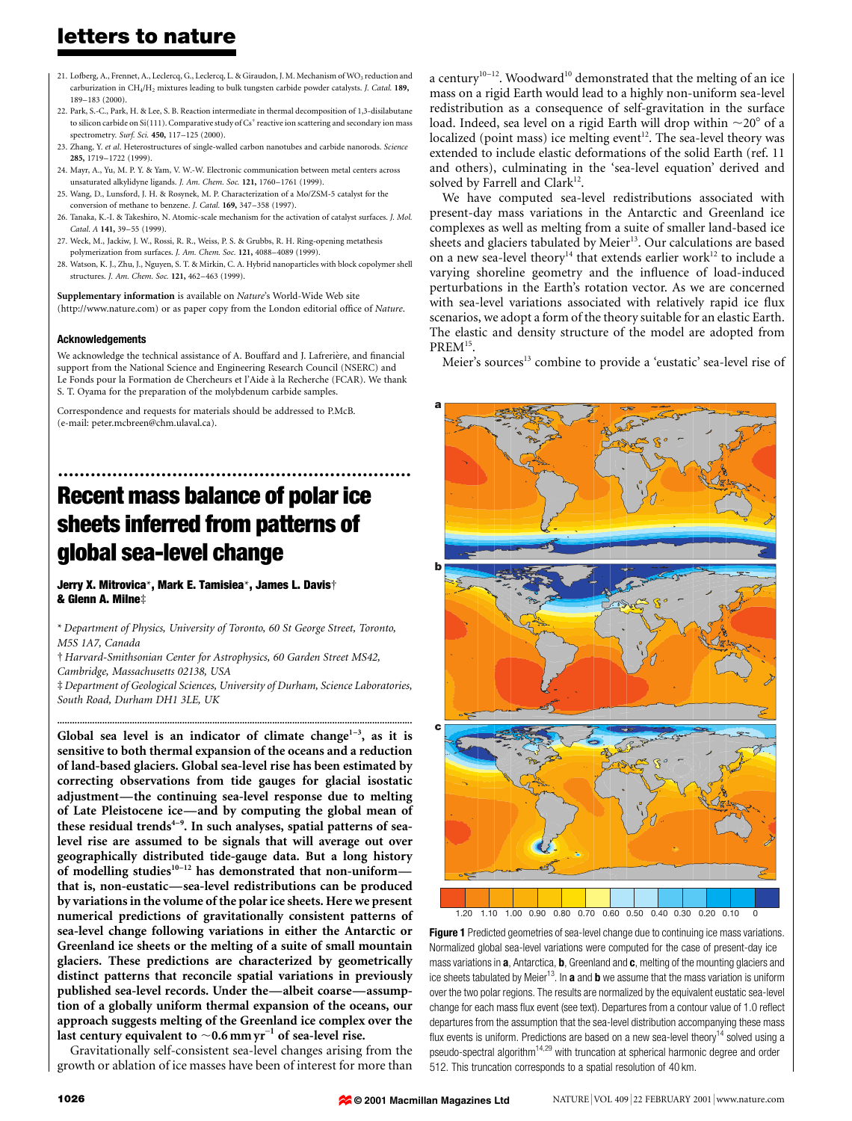- 21. Lofberg, A., Frennet, A., Leclercq, G., Leclercq, L. & Giraudon, J. M. Mechanism of WO<sub>3</sub> reduction and carburization in CH<sub>4</sub>/H<sub>2</sub> mixtures leading to bulk tungsten carbide powder catalysts. *J. Catal.* 189, 189±183 (2000).
- 22. Park, S.-C., Park, H. & Lee, S. B. Reaction intermediate in thermal decomposition of 1,3-disilabutane to silicon carbide on Si(111). Comparative study of Cs<sup>+</sup> reactive ion scattering and secondary ion mass spectrometry. Surf. Sci. 450, 117-125 (2000).
- 23. Zhang, Y. et al. Heterostructures of single-walled carbon nanotubes and carbide nanorods. Science 285, 1719±1722 (1999).
- 24. Mayr, A., Yu, M. P. Y. & Yam, V. W.-W. Electronic communication between metal centers across unsaturated alkylidyne ligands. J. Am. Chem. Soc. 121, 1760-1761 (1999).
- 25. Wang, D., Lunsford, J. H. & Rosynek, M. P. Characterization of a Mo/ZSM-5 catalyst for the conversion of methane to benzene. *I. Catal.* 169, 347-358 (1997).
- 26. Tanaka, K.-I. & Takeshiro, N. Atomic-scale mechanism for the activation of catalyst surfaces. J. Mol. Catal. A 141, 39-55 (1999).
- 27. Weck, M., Jackiw, J. W., Rossi, R. R., Weiss, P. S. & Grubbs, R. H. Ring-opening metathesis polymerization from surfaces. J. Am. Chem. Soc. 121, 4088-4089 (1999).
- 28. Watson, K. J., Zhu, J., Nguyen, S. T. & Mirkin, C. A. Hybrid nanoparticles with block copolymer shell structures. *J. Am. Chem. Soc.* 121, 462-463 (1999).

Supplementary information is available on Nature's World-Wide Web site (http://www.nature.com) or as paper copy from the London editorial office of Nature.

#### Acknowledgements

We acknowledge the technical assistance of A. Bouffard and J. Lafrerière, and financial support from the National Science and Engineering Research Council (NSERC) and Le Fonds pour la Formation de Chercheurs et l'Aide à la Recherche (FCAR). We thank S. T. Oyama for the preparation of the molybdenum carbide samples.

Correspondence and requests for materials should be addressed to P.McB. (e-mail: peter.mcbreen@chm.ulaval.ca).

# ................................................................. Recent mass balance of polar ice sheets inferred from patterns of global sea-level change

Jerry X. Mitrovica\*, Mark E. Tamisiea\*, James L. Davis† & Glenn A. Milne‡

\* Department of Physics, University of Toronto, 60 St George Street, Toronto, M5S 1A7, Canada

² Harvard-Smithsonian Center for Astrophysics, 60 Garden Street MS42, Cambridge, Massachusetts 02138, USA

³ Department of Geological Sciences, University of Durham, Science Laboratories, South Road, Durham DH1 3LE, UK

..............................................................................................................................................

Global sea level is an indicator of climate change<sup>1-3</sup>, as it is sensitive to both thermal expansion of the oceans and a reduction of land-based glaciers. Global sea-level rise has been estimated by correcting observations from tide gauges for glacial isostatic adjustment—the continuing sea-level response due to melting of Late Pleistocene ice—and by computing the global mean of these residual trends<sup>4-9</sup>. In such analyses, spatial patterns of sealevel rise are assumed to be signals that will average out over geographically distributed tide-gauge data. But a long history of modelling studies<sup>10-12</sup> has demonstrated that non-uniform $-\frac{1}{2}$ that is, non-eustatic—sea-level redistributions can be produced by variations in the volume of the polar ice sheets. Here we present numerical predictions of gravitationally consistent patterns of sea-level change following variations in either the Antarctic or Greenland ice sheets or the melting of a suite of small mountain glaciers. These predictions are characterized by geometrically distinct patterns that reconcile spatial variations in previously published sea-level records. Under the-albeit coarse-assumption of a globally uniform thermal expansion of the oceans, our approach suggests melting of the Greenland ice complex over the last century equivalent to  $\sim$  0.6 mm yr<sup>-1</sup> of sea-level rise.

Gravitationally self-consistent sea-level changes arising from the growth or ablation of ice masses have been of interest for more than a century<sup>10-12</sup>. Woodward<sup>10</sup> demonstrated that the melting of an ice mass on a rigid Earth would lead to a highly non-uniform sea-level redistribution as a consequence of self-gravitation in the surface load. Indeed, sea level on a rigid Earth will drop within  $\sim$ 20 $^{\circ}$  of a localized (point mass) ice melting event<sup>12</sup>. The sea-level theory was extended to include elastic deformations of the solid Earth (ref. 11 and others), culminating in the `sea-level equation' derived and solved by Farrell and Clark $12$ .

We have computed sea-level redistributions associated with present-day mass variations in the Antarctic and Greenland ice complexes as well as melting from a suite of smaller land-based ice sheets and glaciers tabulated by Meier<sup>13</sup>. Our calculations are based on a new sea-level theory<sup>14</sup> that extends earlier work<sup>12</sup> to include a varying shoreline geometry and the influence of load-induced perturbations in the Earth's rotation vector. As we are concerned with sea-level variations associated with relatively rapid ice flux scenarios, we adopt a form of the theory suitable for an elastic Earth. The elastic and density structure of the model are adopted from PREM<sup>15</sup>.

Meier's sources<sup>13</sup> combine to provide a 'eustatic' sea-level rise of



Figure 1 Predicted geometries of sea-level change due to continuing ice mass variations. Normalized global sea-level variations were computed for the case of present-day ice mass variations in a, Antarctica, b, Greenland and c, melting of the mounting glaciers and ice sheets tabulated by Meier<sup>13</sup>. In **a** and **b** we assume that the mass variation is uniform over the two polar regions. The results are normalized by the equivalent eustatic sea-level change for each mass flux event (see text). Departures from a contour value of 1.0 reflect departures from the assumption that the sea-level distribution accompanying these mass flux events is uniform. Predictions are based on a new sea-level theory<sup>14</sup> solved using a pseudo-spectral algorithm14,29 with truncation at spherical harmonic degree and order 512. This truncation corresponds to a spatial resolution of 40 km.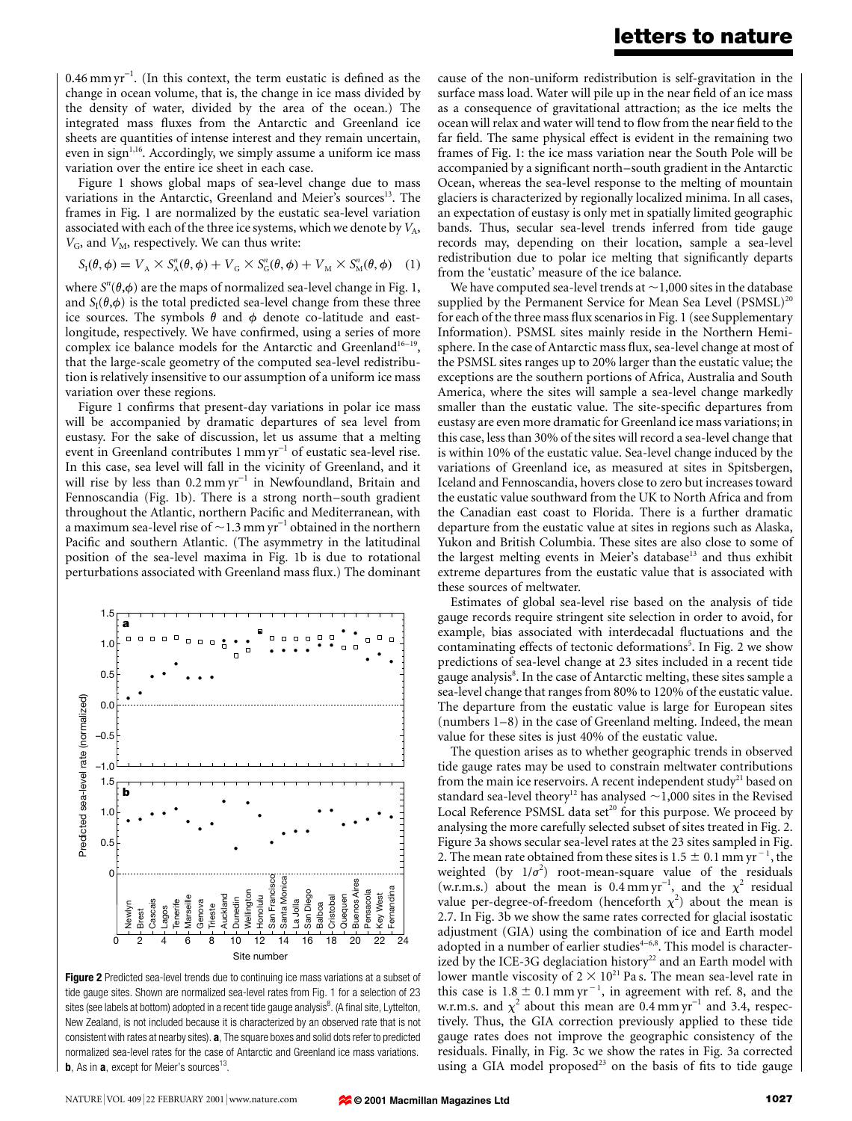$0.46$  mm yr<sup>-1</sup>. (In this context, the term eustatic is defined as the change in ocean volume, that is, the change in ice mass divided by the density of water, divided by the area of the ocean.) The integrated mass fluxes from the Antarctic and Greenland ice sheets are quantities of intense interest and they remain uncertain, even in sign<sup> $1,16$ </sup>. Accordingly, we simply assume a uniform ice mass variation over the entire ice sheet in each case.

Figure 1 shows global maps of sea-level change due to mass variations in the Antarctic, Greenland and Meier's sources<sup>13</sup>. The frames in Fig. 1 are normalized by the eustatic sea-level variation associated with each of the three ice systems, which we denote by  $V_A$ ,  $V_{\text{G}}$ , and  $V_{\text{M}}$ , respectively. We can thus write:

$$
S_{I}(\theta, \phi) = V_{A} \times S_{A}^{n}(\theta, \phi) + V_{G} \times S_{G}^{n}(\theta, \phi) + V_{M} \times S_{M}^{n}(\theta, \phi)
$$
 (1)

where  $S^n(\theta, \phi)$  are the maps of normalized sea-level change in Fig. 1, and  $S_I(\theta,\phi)$  is the total predicted sea-level change from these three ice sources. The symbols  $\theta$  and  $\phi$  denote co-latitude and eastlongitude, respectively. We have confirmed, using a series of more complex ice balance models for the Antarctic and Greenland<sup>16-19</sup>, that the large-scale geometry of the computed sea-level redistribution is relatively insensitive to our assumption of a uniform ice mass variation over these regions.

Figure 1 confirms that present-day variations in polar ice mass will be accompanied by dramatic departures of sea level from eustasy. For the sake of discussion, let us assume that a melting event in Greenland contributes  $1 \text{ mm yr}^{-1}$  of eustatic sea-level rise. In this case, sea level will fall in the vicinity of Greenland, and it will rise by less than  $0.2$  mm yr<sup>-1</sup> in Newfoundland, Britain and Fennoscandia (Fig. 1b). There is a strong north-south gradient throughout the Atlantic, northern Pacific and Mediterranean, with a maximum sea-level rise of  $\sim$  1.3 mm yr<sup>-1</sup> obtained in the northern Pacific and southern Atlantic. (The asymmetry in the latitudinal position of the sea-level maxima in Fig. 1b is due to rotational perturbations associated with Greenland mass flux.) The dominant



Figure 2 Predicted sea-level trends due to continuing ice mass variations at a subset of tide gauge sites. Shown are normalized sea-level rates from Fig. 1 for a selection of 23 sites (see labels at bottom) adopted in a recent tide gauge analysis $^8$ . (A final site, Lyttelton, New Zealand, is not included because it is characterized by an observed rate that is not consistent with rates at nearby sites). **a**, The square boxes and solid dots refer to predicted normalized sea-level rates for the case of Antarctic and Greenland ice mass variations. **b**, As in  $a$ , except for Meier's sources<sup>13</sup>.

cause of the non-uniform redistribution is self-gravitation in the surface mass load. Water will pile up in the near field of an ice mass as a consequence of gravitational attraction; as the ice melts the ocean will relax and water will tend to flow from the near field to the far field. The same physical effect is evident in the remaining two frames of Fig. 1: the ice mass variation near the South Pole will be accompanied by a significant north-south gradient in the Antarctic Ocean, whereas the sea-level response to the melting of mountain glaciers is characterized by regionally localized minima. In all cases, an expectation of eustasy is only met in spatially limited geographic bands. Thus, secular sea-level trends inferred from tide gauge records may, depending on their location, sample a sea-level redistribution due to polar ice melting that significantly departs from the `eustatic' measure of the ice balance.

We have computed sea-level trends at  $\sim$  1,000 sites in the database supplied by the Permanent Service for Mean Sea Level  $(PSMSL)^{20}$ for each of the three mass flux scenarios in Fig. 1 (see Supplementary Information). PSMSL sites mainly reside in the Northern Hemisphere. In the case of Antarctic mass flux, sea-level change at most of the PSMSL sites ranges up to 20% larger than the eustatic value; the exceptions are the southern portions of Africa, Australia and South America, where the sites will sample a sea-level change markedly smaller than the eustatic value. The site-specific departures from eustasy are even more dramatic for Greenland ice mass variations; in this case, less than 30% of the sites will record a sea-level change that is within 10% of the eustatic value. Sea-level change induced by the variations of Greenland ice, as measured at sites in Spitsbergen, Iceland and Fennoscandia, hovers close to zero but increases toward the eustatic value southward from the UK to North Africa and from the Canadian east coast to Florida. There is a further dramatic departure from the eustatic value at sites in regions such as Alaska, Yukon and British Columbia. These sites are also close to some of the largest melting events in Meier's database<sup>13</sup> and thus exhibit extreme departures from the eustatic value that is associated with these sources of meltwater.

Estimates of global sea-level rise based on the analysis of tide gauge records require stringent site selection in order to avoid, for example, bias associated with interdecadal fluctuations and the contaminating effects of tectonic deformations<sup>5</sup>. In Fig. 2 we show predictions of sea-level change at 23 sites included in a recent tide gauge analysis $^8$ . In the case of Antarctic melting, these sites sample a sea-level change that ranges from 80% to 120% of the eustatic value. The departure from the eustatic value is large for European sites (numbers  $1-8$ ) in the case of Greenland melting. Indeed, the mean value for these sites is just 40% of the eustatic value.

The question arises as to whether geographic trends in observed tide gauge rates may be used to constrain meltwater contributions from the main ice reservoirs. A recent independent  $study<sup>21</sup>$  based on standard sea-level theory<sup>12</sup> has analysed  $\sim$  1,000 sites in the Revised Local Reference PSMSL data set<sup>20</sup> for this purpose. We proceed by analysing the more carefully selected subset of sites treated in Fig. 2. Figure 3a shows secular sea-level rates at the 23 sites sampled in Fig. 2. The mean rate obtained from these sites is 1.5  $\pm$  0.1 mm yr  $^{-1}$ , the weighted (by  $1/\sigma^2$ ) root-mean-square value of the residuals (w.r.m.s.) about the mean is 0.4 mm yr<sup>-1</sup>, and the  $\chi^2$  residual value per-degree-of-freedom (henceforth  $\chi^2$ ) about the mean is 2.7. In Fig. 3b we show the same rates corrected for glacial isostatic adjustment (GIA) using the combination of ice and Earth model adopted in a number of earlier studies<sup>4-6,8</sup>. This model is characterized by the ICE-3G deglaciation history<sup>22</sup> and an Earth model with lower mantle viscosity of  $2 \times 10^{21}$  Pa s. The mean sea-level rate in this case is  $1.8 \pm 0.1$  mm yr<sup>-1</sup>, in agreement with ref. 8, and the w.r.m.s. and  $\chi^2$  about this mean are 0.4 mm yr<sup>-1</sup> and 3.4, respectively. Thus, the GIA correction previously applied to these tide gauge rates does not improve the geographic consistency of the residuals. Finally, in Fig. 3c we show the rates in Fig. 3a corrected using a GIA model proposed<sup>23</sup> on the basis of fits to tide gauge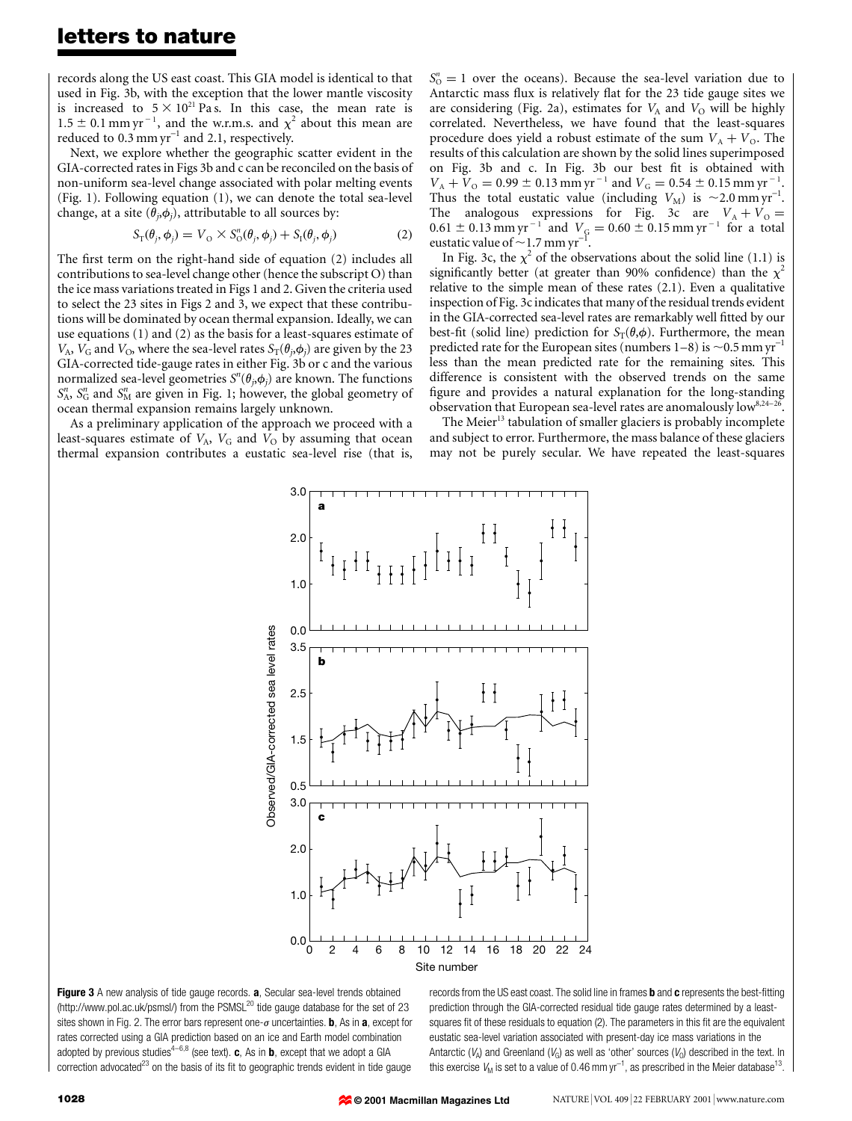records along the US east coast. This GIA model is identical to that used in Fig. 3b, with the exception that the lower mantle viscosity is increased to  $5 \times 10^{21}$  Pa s. In this case, the mean rate is  $1.5 \pm 0.1$  mm yr<sup>-1</sup>, and the w.r.m.s. and  $\chi^2$  about this mean are reduced to  $0.3$  mm  $yr^{-1}$  and 2.1, respectively.

Next, we explore whether the geographic scatter evident in the GIA-corrected rates in Figs 3b and c can be reconciled on the basis of non-uniform sea-level change associated with polar melting events (Fig. 1). Following equation (1), we can denote the total sea-level change, at a site  $(\theta_i, \phi_i)$ , attributable to all sources by:

$$
S_{\mathrm{T}}(\theta_j, \phi_j) = V_{\mathrm{O}} \times S_{\mathrm{O}}^n(\theta_j, \phi_j) + S_{\mathrm{I}}(\theta_j, \phi_j)
$$
 (2)

The first term on the right-hand side of equation (2) includes all contributions to sea-level change other (hence the subscript O) than the ice mass variations treated in Figs 1 and 2. Given the criteria used to select the 23 sites in Figs 2 and 3, we expect that these contributions will be dominated by ocean thermal expansion. Ideally, we can use equations (1) and (2) as the basis for a least-squares estimate of  $V_A$ ,  $V_G$  and  $V_O$ , where the sea-level rates  $S_T(\theta_j,\phi_j)$  are given by the 23 GIA-corrected tide-gauge rates in either Fig. 3b or c and the various normalized sea-level geometries  $S^n(\theta_j, \phi_j)$  are known. The functions  $S_A^n$ ,  $S_G^n$  and  $S_M^n$  are given in Fig. 1; however, the global geometry of ocean thermal expansion remains largely unknown.

As a preliminary application of the approach we proceed with a least-squares estimate of  $V_A$ ,  $V_G$  and  $\overline{V_O}$  by assuming that ocean thermal expansion contributes a eustatic sea-level rise (that is,

 $S_0^n = 1$  over the oceans). Because the sea-level variation due to Antarctic mass flux is relatively flat for the 23 tide gauge sites we are considering (Fig. 2a), estimates for  $V_A$  and  $V_O$  will be highly correlated. Nevertheless, we have found that the least-squares procedure does yield a robust estimate of the sum  $V_A + V_O$ . The results of this calculation are shown by the solid lines superimposed on Fig. 3b and c. In Fig. 3b our best fit is obtained with  $V_A + V_O = 0.99 \pm 0.13$  mm yr<sup>-1</sup> and  $V_G = 0.54 \pm 0.15$  mm yr<sup>-1</sup>. Thus the total eustatic value (including  $V_M$ ) is  $\sim$  2.0 mm yr<sup>-1</sup>. The analogous expressions for Fig. 3c are  $V_A + V_O =$  $0.61 \pm 0.13$  mm yr  $^{-1}$  and  $V_\mathrm{G} = 0.60 \pm 0.15$  mm yr  $^{-1}$  for a total eustatic value of  $\sim$  1.7 mm yr<sup>-1</sup>.

In Fig. 3c, the  $\chi^2$  of the observations about the solid line (1.1) is significantly better (at greater than 90% confidence) than the  $\chi^2$ relative to the simple mean of these rates (2.1). Even a qualitative inspection of Fig. 3c indicates that many of the residual trends evident in the GIA-corrected sea-level rates are remarkably well fitted by our best-fit (solid line) prediction for  $S_T(\theta,\phi)$ . Furthermore, the mean predicted rate for the European sites (numbers  $1-8$ ) is  $\sim$  0.5 mm yr<sup>-1</sup> less than the mean predicted rate for the remaining sites. This difference is consistent with the observed trends on the same figure and provides a natural explanation for the long-standing observation that European sea-level rates are anomalously low<sup>8,24-26</sup>.

The Meier<sup>13</sup> tabulation of smaller glaciers is probably incomplete and subject to error. Furthermore, the mass balance of these glaciers may not be purely secular. We have repeated the least-squares



Figure 3 A new analysis of tide gauge records. a, Secular sea-level trends obtained (http://www.pol.ac.uk/psmsl/) from the PSMSL<sup>20</sup> tide gauge database for the set of 23 sites shown in Fig. 2. The error bars represent one- $\sigma$  uncertainties. **b**, As in **a**, except for rates corrected using a GIA prediction based on an ice and Earth model combination adopted by previous studies<sup>4-6,8</sup> (see text). **c**, As in **b**, except that we adopt a GIA correction advocated $^{23}$  on the basis of its fit to geographic trends evident in tide gauge

records from the US east coast. The solid line in frames  **and**  $**c**$  **represents the best-fitting** prediction through the GIA-corrected residual tide gauge rates determined by a leastsquares fit of these residuals to equation (2). The parameters in this fit are the equivalent eustatic sea-level variation associated with present-day ice mass variations in the Antarctic ( $V_A$ ) and Greenland ( $V_G$ ) as well as 'other' sources ( $V_O$ ) described in the text. In this exercise  $\mathit{V}_{\mathsf{M}}$  is set to a value of 0.46 mm yr $^{-1}$ , as prescribed in the Meier database<sup>13</sup>.